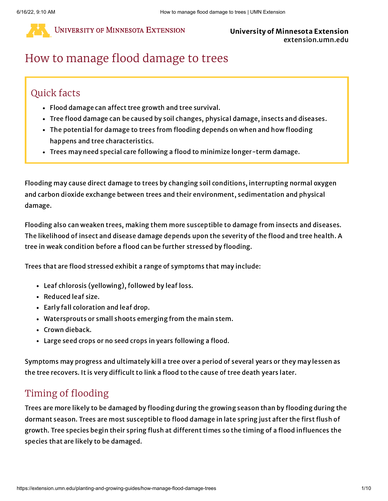

#### University of Minnesota Extension extension.umn.edu

# How to manage flood damage to trees

## Quick facts

- Flood damage can affect tree growth and tree survival.
- Tree flood damage can be caused by soil changes, physical damage, insects and diseases.
- The potential for damage to trees from flooding depends on when and how flooding happens and tree characteristics.
- Trees may need special care following a flood to minimize longer-term damage.

Flooding may cause direct damage to trees by changing soil conditions, interrupting normal oxygen and carbon dioxide exchange between trees and their environment, sedimentation and physical damage.

Flooding also can weaken trees, making them more susceptible to damage from insects and diseases. The likelihood of insect and disease damage depends upon the severity of the flood and tree health. A tree in weak condition before a flood can be further stressed by flooding.

Trees that are flood stressed exhibit a range of symptoms that may include:

- Leaf chlorosis (yellowing), followed by leaf loss.
- Reduced leaf size.
- Early fall coloration and leaf drop.
- Watersprouts or small shoots emerging from the main stem.
- Crown dieback.
- Large seed crops or no seed crops in years following a flood.

Symptoms may progress and ultimately kill a tree over a period of several years or they may lessen as the tree recovers. It is very difficult to link a flood to the cause of tree death years later.

## Timing of flooding

Trees are more likely to be damaged by flooding during the growing season than by flooding during the dormant season. Trees are most susceptible to flood damage in late spring just after the first flush of growth. Tree species begin their spring flush at different times so the timing of a flood influences the species that are likely to be damaged.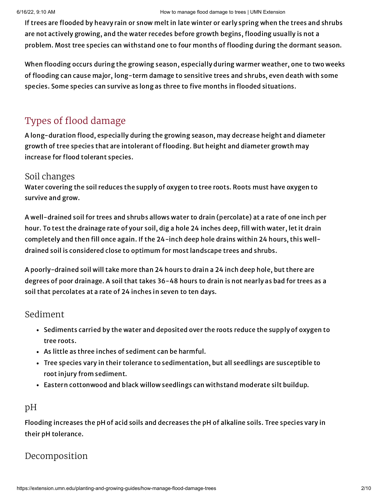If trees are flooded by heavy rain or snow melt in late winter or early spring when the trees and shrubs are not actively growing, and the water recedes before growth begins, flooding usually is not a problem. Most tree species can withstand one to four months of flooding during the dormant season.

When flooding occurs during the growing season, especially during warmer weather, one to two weeks of flooding can cause major, long-term damage to sensitive trees and shrubs, even death with some species. Some species can survive as long as three to five months in flooded situations.

## Types of flood damage

A long-duration flood, especially during the growing season, may decrease height and diameter growth of tree species that are intolerant of flooding. But height and diameter growth may increase for flood tolerant species.

#### Soil changes

Water covering the soil reduces the supply of oxygen to tree roots. Roots must have oxygen to survive and grow.

A well-drained soil for trees and shrubs allows water to drain (percolate) at a rate of one inch per hour. To test the drainage rate of your soil, dig a hole 24 inches deep, fill with water, let it drain completely and then fill once again. If the 24-inch deep hole drains within 24 hours, this welldrained soil is considered close to optimum for most landscape trees and shrubs.

A poorly-drained soil will take more than 24 hours to drain a 24 inch deep hole, but there are degrees of poor drainage. A soil that takes 36-48 hours to drain is not nearly as bad for trees as a soil that percolates at a rate of 24 inches in seven to ten days.

### Sediment

- Sediments carried by the water and deposited over the roots reduce the supply of oxygen to tree roots.
- As little as three inches of sediment can be harmful.
- Tree species vary in their tolerance to sedimentation, but all seedlings are susceptible to root injury from sediment.
- Eastern cottonwood and black willow seedlings can withstand moderate silt buildup.

## pH

Flooding increases the pH of acid soils and decreases the pH of alkaline soils. Tree species vary in their pH tolerance.

## Decomposition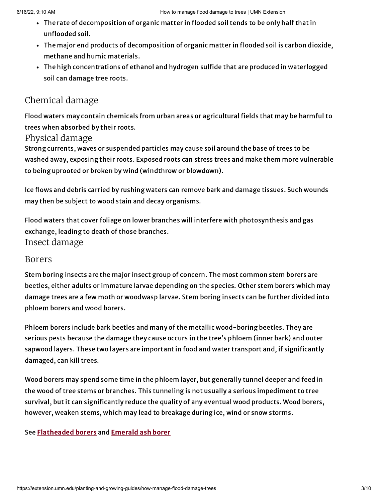- The rate of decomposition of organic matter in flooded soil tends to be only half that in unflooded soil.
- The major end products of decomposition of organic matter in flooded soil is carbon dioxide, methane and humic materials.
- The high concentrations of ethanol and hydrogen sulfide that are produced in waterlogged soil can damage tree roots.

## Chemical damage

Flood waters may contain chemicals from urban areas or agricultural fields that may be harmful to trees when absorbed by their roots.

#### Physical damage

Strong currents, waves or suspended particles may cause soil around the base of trees to be washed away, exposing their roots. Exposed roots can stress trees and make them more vulnerable to being uprooted or broken by wind (windthrow or blowdown).

Ice flows and debris carried by rushing waters can remove bark and damage tissues. Such wounds may then be subject to wood stain and decay organisms.

Insect damage Flood waters that cover foliage on lower branches will interfere with photosynthesis and gas exchange, leading to death of those branches.

### Borers

Stem boring insects are the major insect group of concern. The most common stem borers are beetles, either adults or immature larvae depending on the species. Other stem borers which may damage trees are a few moth or woodwasp larvae. Stem boring insects can be further divided into phloem borers and wood borers.

Phloem borers include bark beetles and many of the metallic wood-boring beetles. They are serious pests because the damage they cause occurs in the tree's phloem (inner bark) and outer sapwood layers. These two layers are important in food and water transport and, if significantly damaged, can kill trees.

Wood borers may spend some time in the phloem layer, but generally tunnel deeper and feed in the wood of tree stems or branches. This tunneling is not usually a serious impediment to tree survival, but it can significantly reduce the quality of any eventual wood products. Wood borers, however, weaken stems, which may lead to breakage during ice, wind or snow storms.

#### See [Flatheaded](https://extension.umn.edu/node/10551) borers and [Emerald](https://extension.umn.edu/node/21591) ash borer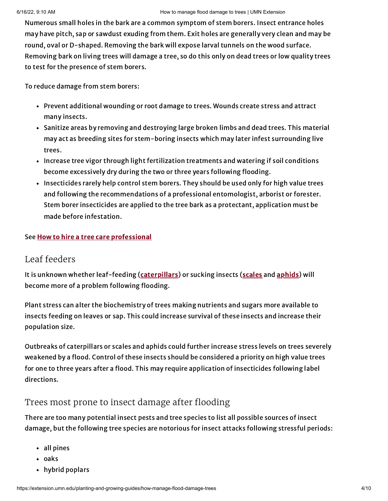Numerous small holes in the bark are a common symptom of stem borers. Insect entrance holes may have pitch, sap or sawdust exuding from them. Exit holes are generally very clean and may be round, oval or D-shaped. Removing the bark will expose larval tunnels on the wood surface. Removing bark on living trees will damage a tree, so do this only on dead trees or low quality trees to test for the presence of stem borers.

To reduce damage from stem borers:

- Prevent additional wounding or root damage to trees. Wounds create stress and attract many insects.
- Sanitize areas by removing and destroying large broken limbs and dead trees. This material may act as breeding sites for stem-boring insects which may later infest surrounding live trees.
- Increase tree vigor through light fertilization treatments and watering if soil conditions become excessively dry during the two or three years following flooding.
- Insecticides rarely help control stem borers. They should be used only for high value trees and following the recommendations of a professional entomologist, arborist or forester. Stem borer insecticides are applied to the tree bark as a protectant, application must be made before infestation.

#### See How to hire a tree care [professional](https://extension.umn.edu/node/13431)

### Leaf feeders

It is unknown whether leaf-feeding ([caterpillars](https://extension.umn.edu/node/8711)) or sucking insects [\(scales](https://extension.umn.edu/node/9141) and [aphids\)](https://extension.umn.edu/node/5246) will become more of a problem following flooding.

Plant stress can alter the biochemistry of trees making nutrients and sugars more available to insects feeding on leaves or sap. This could increase survival of these insects and increase their population size.

Outbreaks of caterpillars or scales and aphids could further increase stress levels on trees severely weakened by a flood. Control of these insects should be considered a priority on high value trees for one to three years after a flood. This may require application of insecticides following label directions.

## Trees most prone to insect damage after flooding

There are too many potential insect pests and tree species to list all possible sources of insect damage, but the following tree species are notorious for insect attacks following stressful periods:

- all pines
- oaks
- hybrid poplars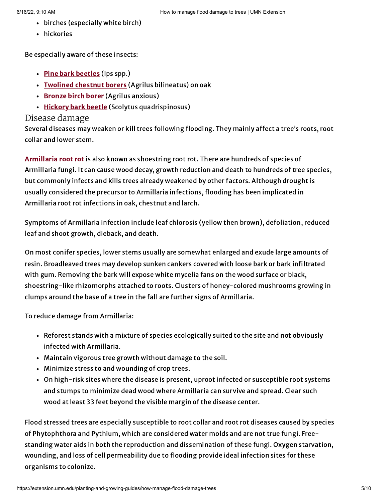- 6/16/22, 9:10 AM How to manage flood damage to trees | UMN Extension
	- birches (especially white birch)
	- hickories

Be especially aware of these insects:

- Pine bark [beetles](https://extension.umn.edu/node/14101) (Ips spp.)
- [Twolined](https://extension.umn.edu/node/10551) chestnut borers (Agrilus bilineatus) on oak
- [Bronze](https://extension.umn.edu/node/10551) birch borer (Agrilus anxious)
- [Hickory](https://apps.extension.umn.edu/garden/diagnose/plant/deciduous/hickory/branchesdead.html) bark beetle (Scolytus quadrispinosus)

### Disease damage

Several diseases may weaken or kill trees following flooding. They mainly affect a tree's roots, root collar and lower stem.

[Armillaria](https://extension.umn.edu/node/18131) root rot is also known as shoestring root rot. There are hundreds of species of Armillaria fungi. It can cause wood decay, growth reduction and death to hundreds of tree species, but commonly infects and kills trees already weakened by other factors. Although drought is usually considered the precursor to Armillaria infections, flooding has been implicated in Armillaria root rot infections in oak, chestnut and larch.

Symptoms of Armillaria infection include leaf chlorosis (yellow then brown), defoliation, reduced leaf and shoot growth, dieback, and death.

On most conifer species, lower stems usually are somewhat enlarged and exude large amounts of resin. Broadleaved trees may develop sunken cankers covered with loose bark or bark infiltrated with gum. Removing the bark will expose white mycelia fans on the wood surface or black, shoestring-like rhizomorphs attached to roots. Clusters of honey-colored mushrooms growing in clumps around the base of a tree in the fall are further signs of Armillaria.

To reduce damage from Armillaria:

- Reforest stands with a mixture of species ecologically suited to the site and not obviously infected with Armillaria.
- Maintain vigorous tree growth without damage to the soil.
- Minimize stress to and wounding of crop trees.
- On high-risk sites where the disease is present, uproot infected or susceptible root systems and stumps to minimize dead wood where Armillaria can survive and spread. Clear such wood at least 33 feet beyond the visible margin of the disease center.

Flood stressed trees are especially susceptible to root collar and root rot diseases caused by species of Phytophthora and Pythium, which are considered water molds and are not true fungi. Freestanding water aids in both the reproduction and dissemination of these fungi. Oxygen starvation, wounding, and loss of cell permeability due to flooding provide ideal infection sites for these organisms to colonize.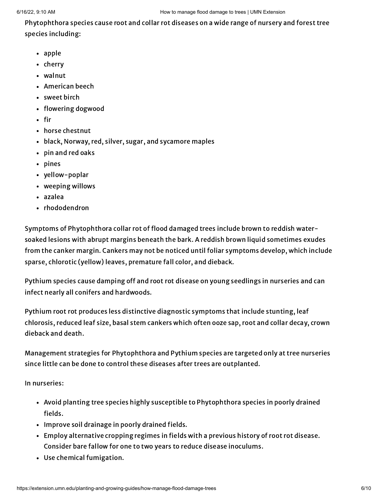Phytophthora species cause root and collar rot diseases on a wide range of nursery and forest tree species including:

- apple
- cherry
- walnut
- American beech
- sweet birch
- flowering dogwood
- $\cdot$  fir
- horse chestnut
- black, Norway, red, silver, sugar, and sycamore maples
- pin and red oaks
- pines
- yellow-poplar
- weeping willows
- azalea
- rhododendron

Symptoms of Phytophthora collar rot of flood damaged trees include brown to reddish watersoaked lesions with abrupt margins beneath the bark. A reddish brown liquid sometimes exudes from the canker margin. Cankers may not be noticed until foliar symptoms develop, which include sparse, chlorotic (yellow) leaves, premature fall color, and dieback.

Pythium species cause damping off and root rot disease on young seedlings in nurseries and can infect nearly all conifers and hardwoods.

Pythium root rot produces less distinctive diagnostic symptoms that include stunting, leaf chlorosis, reduced leaf size, basal stem cankers which often ooze sap, root and collar decay, crown dieback and death.

Management strategies for Phytophthora and Pythium species are targeted only at tree nurseries since little can be done to control these diseases after trees are outplanted.

In nurseries:

- Avoid planting tree species highly susceptible to Phytophthora species in poorly drained fields.
- Improve soil drainage in poorly drained fields.
- Employ alternative cropping regimes in fields with a previous history of root rot disease. Consider bare fallow for one to two years to reduce disease inoculums.
- Use chemical fumigation.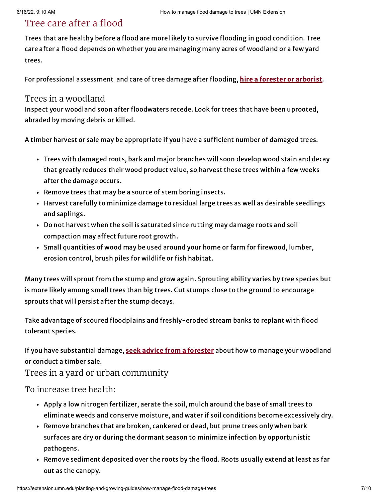## Tree care after a flood

Trees that are healthy before a flood are more likely to survive flooding in good condition. Tree care after a flood depends on whether you are managing many acres of woodland or a few yard trees.

For professional assessment and care of tree damage after flooding, hire a forester or [arborist.](https://extension.umn.edu/node/13431)

#### Trees in a woodland

Inspect your woodland soon after floodwaters recede. Look for trees that have been uprooted, abraded by moving debris or killed.

A timber harvest or sale may be appropriate if you have a sufficient number of damaged trees.

- Trees with damaged roots, bark and major branches will soon develop wood stain and decay that greatly reduces their wood product value, so harvest these trees within a few weeks after the damage occurs.
- Remove trees that may be a source of stem boring insects.
- Harvest carefully to minimize damage to residual large trees as well as desirable seedlings and saplings.
- Do not harvest when the soil is saturated since rutting may damage roots and soil compaction may affect future root growth.
- Small quantities of wood may be used around your home or farm for firewood, lumber, erosion control, brush piles for wildlife or fish habitat.

Many trees will sprout from the stump and grow again. Sprouting ability varies by tree species but is more likely among small trees than big trees. Cut stumps close to the ground to encourage sprouts that will persist after the stump decays.

Take advantage of scoured floodplains and freshly-eroded stream banks to replant with flood tolerant species.

If you have substantial damage, seek advice from a [forester](https://extension.umn.edu/node/13431) about how to manage your woodland or conduct a timber sale.

Trees in a yard or urban community

To increase tree health:

- Apply a low nitrogen fertilizer, aerate the soil, mulch around the base of small trees to eliminate weeds and conserve moisture, and water if soil conditions become excessively dry.
- Remove branches that are broken, cankered or dead, but prune trees only when bark surfaces are dry or during the dormant season to minimize infection by opportunistic pathogens.
- Remove sediment deposited over the roots by the flood. Roots usually extend at least as far out as the canopy.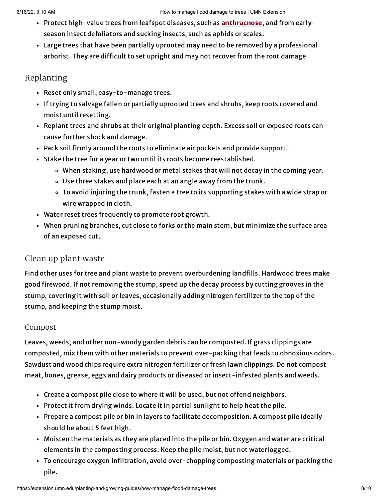- Protect high-value trees from leafspot diseases, such as **anthracnose**, and from earlyseason insect defoliators and sucking insects, such as aphids or scales.
- Large trees that have been partially uprooted may need to be removed by a professional arborist. They are difficult to set upright and may not recover from the root damage.

### Replanting

- Reset only small, easy-to-manage trees.
- If trying to salvage fallen or partially uprooted trees and shrubs, keep roots covered and moist until resetting.
- Replant trees and shrubs at their original planting depth. Excess soil or exposed roots can cause further shock and damage.
- Pack soil firmly around the roots to eliminate air pockets and provide support.
- Stake the tree for a year or two until its roots become reestablished.
	- When staking, use hardwood or metal stakes that will not decay in the coming year.
	- Use three stakes and place each at an angle away from the trunk.
	- To avoid injuring the trunk, fasten a tree to its supporting stakes with a wide strap or wire wrapped in cloth.
- Water reset trees frequently to promote root growth.
- When pruning branches, cut close to forks or the main stem, but minimize the surface area of an exposed cut.

## Clean up plant waste

Find other uses for tree and plant waste to prevent overburdening landfills. Hardwood trees make good firewood. If not removing the stump, speed up the decay process by cutting grooves in the stump, covering it with soil or leaves, occasionally adding nitrogen fertilizer to the top of the stump, and keeping the stump moist.

#### Compost

Leaves, weeds, and other non-woody garden debris can be composted. If grass clippings are composted, mix them with other materials to prevent over-packing that leads to obnoxious odors. Sawdust and wood chips require extra nitrogen fertilizer or fresh lawn clippings. Do not compost meat, bones, grease, eggs and dairy products or diseased or insect-infested plants and weeds.

- Create a compost pile close to where it will be used, but not offend neighbors.
- Protect it from drying winds. Locate it in partial sunlight to help heat the pile.
- Prepare a compost pile or bin in layers to facilitate decomposition. A compost pile ideally should be about 5 feet high.
- Moisten the materials as they are placed into the pile or bin. Oxygen and water are critical elements in the composting process. Keep the pile moist, but not waterlogged.
- To encourage oxygen infiltration, avoid over-chopping composting materials or packing the pile.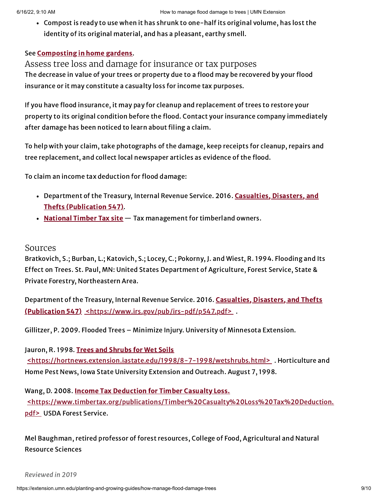Compost is ready to use when it has shrunk to one-half its original volume, has lost the identity of its original material, and has a pleasant, earthy smell.

#### See [Composting](https://extension.umn.edu/node/9566) in home gardens.

Assess tree loss and damage for insurance or tax purposes The decrease in value of your trees or property due to a flood may be recovered by your flood insurance or it may constitute a casualty loss for income tax purposes.

If you have flood insurance, it may pay for cleanup and replacement of trees to restore your property to its original condition before the flood. Contact your insurance company immediately after damage has been noticed to learn about filing a claim.

To help with your claim, take photographs of the damage, keep receipts for cleanup, repairs and tree replacement, and collect local newspaper articles as evidence of the flood.

To claim an income tax deduction for flood damage:

- Department of the Treasury, Internal Revenue Service. 2016. Casualties, Disasters, and Thefts [\(Publication](https://www.irs.gov/pub/irs-pdf/p547.pdf) 547).
- [National](https://timbertax.org/getstarted/casualty/timbercasualty/) Timber Tax site Tax management for timberland owners.

#### Sources

Bratkovich, S.; Burban, L.; Katovich, S.; Locey, C.; Pokorny, J. and Wiest, R. 1994. Flooding and Its Effect on Trees. St. Paul, MN: United States Department of Agriculture, Forest Service, State & Private Forestry, Northeastern Area.

Department of the Treasury, Internal Revenue Service. 2016. Casualties, Disasters, and Thefts (Publication 547) [<https://www.irs.gov/pub/irs-pdf/p547.pdf>](https://www.irs.gov/pub/irs-pdf/p547.pdf) .

Gillitzer, P. 2009. Flooded Trees – Minimize Injury. University of Minnesota Extension.

Jauron, R. 1998. Trees and Shrubs for Wet Soils [<https://hortnews.extension.iastate.edu/1998/8-7-1998/wetshrubs.html>](https://hortnews.extension.iastate.edu/1998/8-7-1998/wetshrubs.html) . Horticulture and Home Pest News, Iowa State University Extension and Outreach. August 7, 1998.

Wang, D. 2008. Income Tax Deduction for Timber Casualty Loss. [<https://www.timbertax.org/publications/Timber%20Casualty%20Loss%20Tax%20Deduction.](https://www.timbertax.org/publications/Timber%20Casualty%20Loss%20Tax%20Deduction.pdf) pdf> USDA Forest Service.

Mel Baughman, retired professor of forest resources, College of Food, Agricultural and Natural Resource Sciences

Reviewed in 2019